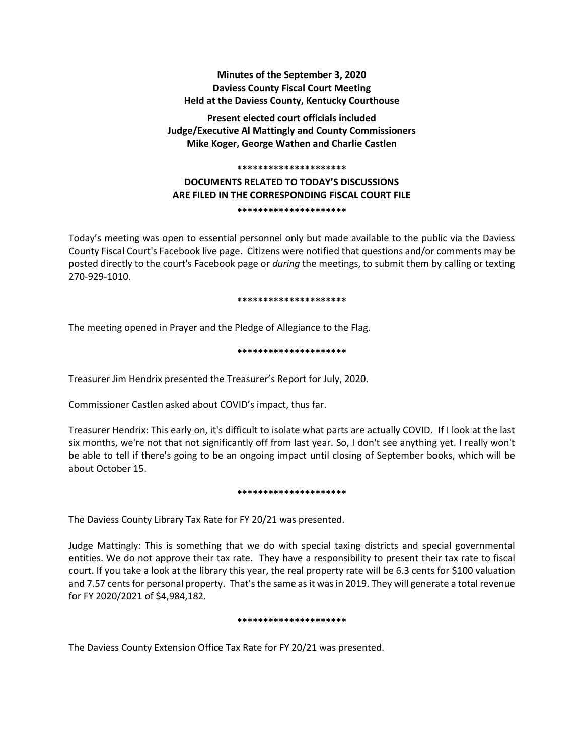# **Minutes of the September 3, 2020 Daviess County Fiscal Court Meeting Held at the Daviess County, Kentucky Courthouse**

**Present elected court officials included Judge/Executive Al Mattingly and County Commissioners Mike Koger, George Wathen and Charlie Castlen**

#### **\*\*\*\*\*\*\*\*\*\*\*\*\*\*\*\*\*\*\*\*\***

# **DOCUMENTS RELATED TO TODAY'S DISCUSSIONS ARE FILED IN THE CORRESPONDING FISCAL COURT FILE**

**\*\*\*\*\*\*\*\*\*\*\*\*\*\*\*\*\*\*\*\*\***

Today's meeting was open to essential personnel only but made available to the public via the Daviess County Fiscal Court's Facebook live page. Citizens were notified that questions and/or comments may be posted directly to the court's Facebook page or *during* the meetings, to submit them by calling or texting 270-929-1010.

### **\*\*\*\*\*\*\*\*\*\*\*\*\*\*\*\*\*\*\*\*\***

The meeting opened in Prayer and the Pledge of Allegiance to the Flag.

## **\*\*\*\*\*\*\*\*\*\*\*\*\*\*\*\*\*\*\*\*\***

Treasurer Jim Hendrix presented the Treasurer's Report for July, 2020.

Commissioner Castlen asked about COVID's impact, thus far.

Treasurer Hendrix: This early on, it's difficult to isolate what parts are actually COVID. If I look at the last six months, we're not that not significantly off from last year. So, I don't see anything yet. I really won't be able to tell if there's going to be an ongoing impact until closing of September books, which will be about October 15.

### **\*\*\*\*\*\*\*\*\*\*\*\*\*\*\*\*\*\*\*\*\***

The Daviess County Library Tax Rate for FY 20/21 was presented.

Judge Mattingly: This is something that we do with special taxing districts and special governmental entities. We do not approve their tax rate. They have a responsibility to present their tax rate to fiscal court. If you take a look at the library this year, the real property rate will be 6.3 cents for \$100 valuation and 7.57 cents for personal property. That's the same as it was in 2019. They will generate a total revenue for FY 2020/2021 of \$4,984,182.

### **\*\*\*\*\*\*\*\*\*\*\*\*\*\*\*\*\*\*\*\*\***

The Daviess County Extension Office Tax Rate for FY 20/21 was presented.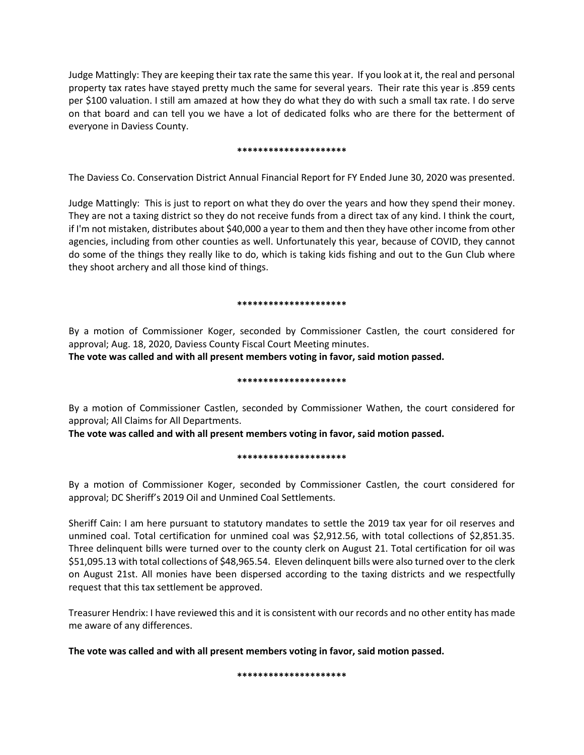Judge Mattingly: They are keeping their tax rate the same this year. If you look at it, the real and personal property tax rates have stayed pretty much the same for several years. Their rate this year is .859 cents per \$100 valuation. I still am amazed at how they do what they do with such a small tax rate. I do serve on that board and can tell you we have a lot of dedicated folks who are there for the betterment of everyone in Daviess County.

### **\*\*\*\*\*\*\*\*\*\*\*\*\*\*\*\*\*\*\*\*\***

The Daviess Co. Conservation District Annual Financial Report for FY Ended June 30, 2020 was presented.

Judge Mattingly: This is just to report on what they do over the years and how they spend their money. They are not a taxing district so they do not receive funds from a direct tax of any kind. I think the court, if I'm not mistaken, distributes about \$40,000 a year to them and then they have other income from other agencies, including from other counties as well. Unfortunately this year, because of COVID, they cannot do some of the things they really like to do, which is taking kids fishing and out to the Gun Club where they shoot archery and all those kind of things.

### **\*\*\*\*\*\*\*\*\*\*\*\*\*\*\*\*\*\*\*\*\***

By a motion of Commissioner Koger, seconded by Commissioner Castlen, the court considered for approval; Aug. 18, 2020, Daviess County Fiscal Court Meeting minutes.

**The vote was called and with all present members voting in favor, said motion passed.** 

### **\*\*\*\*\*\*\*\*\*\*\*\*\*\*\*\*\*\*\*\*\***

By a motion of Commissioner Castlen, seconded by Commissioner Wathen, the court considered for approval; All Claims for All Departments.

**The vote was called and with all present members voting in favor, said motion passed.** 

### **\*\*\*\*\*\*\*\*\*\*\*\*\*\*\*\*\*\*\*\*\***

By a motion of Commissioner Koger, seconded by Commissioner Castlen, the court considered for approval; DC Sheriff's 2019 Oil and Unmined Coal Settlements.

Sheriff Cain: I am here pursuant to statutory mandates to settle the 2019 tax year for oil reserves and unmined coal. Total certification for unmined coal was \$2,912.56, with total collections of \$2,851.35. Three delinquent bills were turned over to the county clerk on August 21. Total certification for oil was \$51,095.13 with total collections of \$48,965.54. Eleven delinquent bills were also turned over to the clerk on August 21st. All monies have been dispersed according to the taxing districts and we respectfully request that this tax settlement be approved.

Treasurer Hendrix: I have reviewed this and it is consistent with our records and no other entity has made me aware of any differences.

**The vote was called and with all present members voting in favor, said motion passed.**

**\*\*\*\*\*\*\*\*\*\*\*\*\*\*\*\*\*\*\*\*\***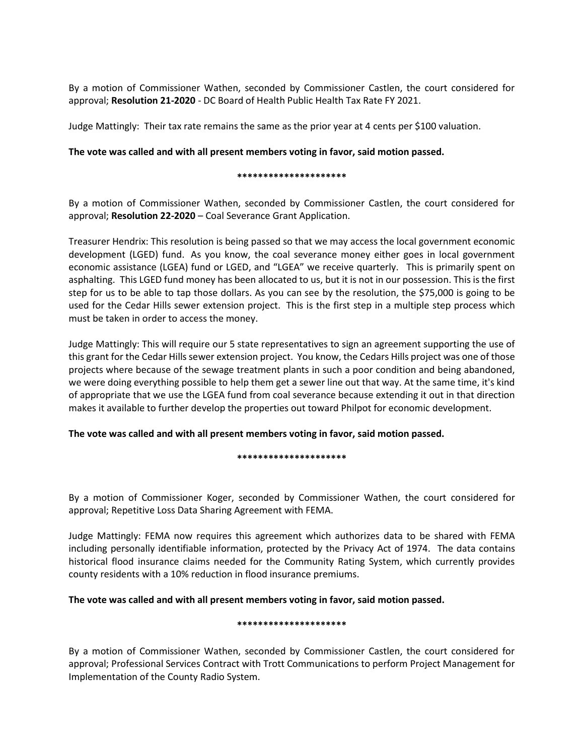By a motion of Commissioner Wathen, seconded by Commissioner Castlen, the court considered for approval; **Resolution 21-2020** - DC Board of Health Public Health Tax Rate FY 2021.

Judge Mattingly: Their tax rate remains the same as the prior year at 4 cents per \$100 valuation.

### **The vote was called and with all present members voting in favor, said motion passed.**

### **\*\*\*\*\*\*\*\*\*\*\*\*\*\*\*\*\*\*\*\*\***

By a motion of Commissioner Wathen, seconded by Commissioner Castlen, the court considered for approval; **Resolution 22-2020** – Coal Severance Grant Application.

Treasurer Hendrix: This resolution is being passed so that we may access the local government economic development (LGED) fund. As you know, the coal severance money either goes in local government economic assistance (LGEA) fund or LGED, and "LGEA" we receive quarterly. This is primarily spent on asphalting. This LGED fund money has been allocated to us, but it is not in our possession. This is the first step for us to be able to tap those dollars. As you can see by the resolution, the \$75,000 is going to be used for the Cedar Hills sewer extension project. This is the first step in a multiple step process which must be taken in order to access the money.

Judge Mattingly: This will require our 5 state representatives to sign an agreement supporting the use of this grant for the Cedar Hills sewer extension project. You know, the Cedars Hills project was one of those projects where because of the sewage treatment plants in such a poor condition and being abandoned, we were doing everything possible to help them get a sewer line out that way. At the same time, it's kind of appropriate that we use the LGEA fund from coal severance because extending it out in that direction makes it available to further develop the properties out toward Philpot for economic development.

**The vote was called and with all present members voting in favor, said motion passed.**

### **\*\*\*\*\*\*\*\*\*\*\*\*\*\*\*\*\*\*\*\*\***

By a motion of Commissioner Koger, seconded by Commissioner Wathen, the court considered for approval; Repetitive Loss Data Sharing Agreement with FEMA.

Judge Mattingly: FEMA now requires this agreement which authorizes data to be shared with FEMA including personally identifiable information, protected by the Privacy Act of 1974. The data contains historical flood insurance claims needed for the Community Rating System, which currently provides county residents with a 10% reduction in flood insurance premiums.

### **The vote was called and with all present members voting in favor, said motion passed.**

### **\*\*\*\*\*\*\*\*\*\*\*\*\*\*\*\*\*\*\*\*\***

By a motion of Commissioner Wathen, seconded by Commissioner Castlen, the court considered for approval; Professional Services Contract with Trott Communications to perform Project Management for Implementation of the County Radio System.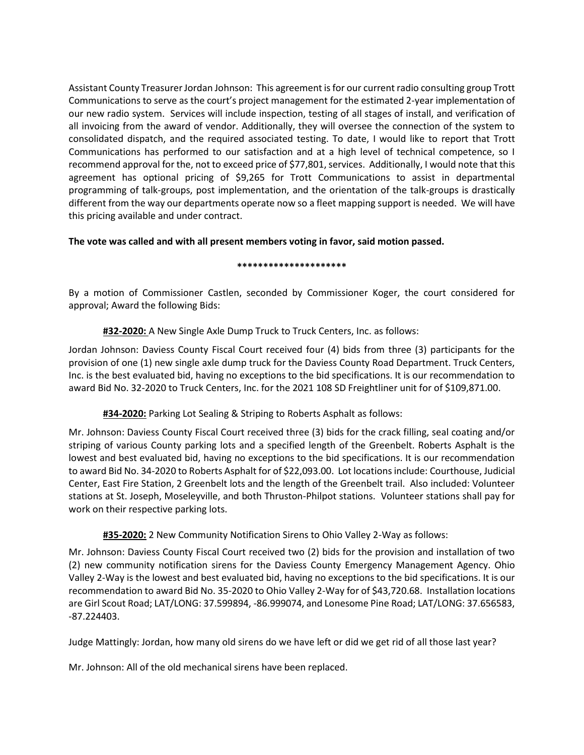Assistant County Treasurer Jordan Johnson: This agreement is for our current radio consulting group Trott Communications to serve as the court's project management for the estimated 2-year implementation of our new radio system. Services will include inspection, testing of all stages of install, and verification of all invoicing from the award of vendor. Additionally, they will oversee the connection of the system to consolidated dispatch, and the required associated testing. To date, I would like to report that Trott Communications has performed to our satisfaction and at a high level of technical competence, so I recommend approval for the, not to exceed price of \$77,801, services. Additionally, I would note that this agreement has optional pricing of \$9,265 for Trott Communications to assist in departmental programming of talk-groups, post implementation, and the orientation of the talk-groups is drastically different from the way our departments operate now so a fleet mapping support is needed. We will have this pricing available and under contract.

# **The vote was called and with all present members voting in favor, said motion passed.**

### **\*\*\*\*\*\*\*\*\*\*\*\*\*\*\*\*\*\*\*\*\***

By a motion of Commissioner Castlen, seconded by Commissioner Koger, the court considered for approval; Award the following Bids:

# **#32-2020:** A New Single Axle Dump Truck to Truck Centers, Inc. as follows:

Jordan Johnson: Daviess County Fiscal Court received four (4) bids from three (3) participants for the provision of one (1) new single axle dump truck for the Daviess County Road Department. Truck Centers, Inc. is the best evaluated bid, having no exceptions to the bid specifications. It is our recommendation to award Bid No. 32-2020 to Truck Centers, Inc. for the 2021 108 SD Freightliner unit for of \$109,871.00.

# **#34-2020:** Parking Lot Sealing & Striping to Roberts Asphalt as follows:

Mr. Johnson: Daviess County Fiscal Court received three (3) bids for the crack filling, seal coating and/or striping of various County parking lots and a specified length of the Greenbelt. Roberts Asphalt is the lowest and best evaluated bid, having no exceptions to the bid specifications. It is our recommendation to award Bid No. 34-2020 to Roberts Asphalt for of \$22,093.00. Lot locations include: Courthouse, Judicial Center, East Fire Station, 2 Greenbelt lots and the length of the Greenbelt trail. Also included: Volunteer stations at St. Joseph, Moseleyville, and both Thruston-Philpot stations. Volunteer stations shall pay for work on their respective parking lots.

# **#35-2020:** 2 New Community Notification Sirens to Ohio Valley 2-Way as follows:

Mr. Johnson: Daviess County Fiscal Court received two (2) bids for the provision and installation of two (2) new community notification sirens for the Daviess County Emergency Management Agency. Ohio Valley 2-Way is the lowest and best evaluated bid, having no exceptions to the bid specifications. It is our recommendation to award Bid No. 35-2020 to Ohio Valley 2-Way for of \$43,720.68. Installation locations are Girl Scout Road; LAT/LONG: 37.599894, -86.999074, and Lonesome Pine Road; LAT/LONG: 37.656583, -87.224403.

Judge Mattingly: Jordan, how many old sirens do we have left or did we get rid of all those last year?

Mr. Johnson: All of the old mechanical sirens have been replaced.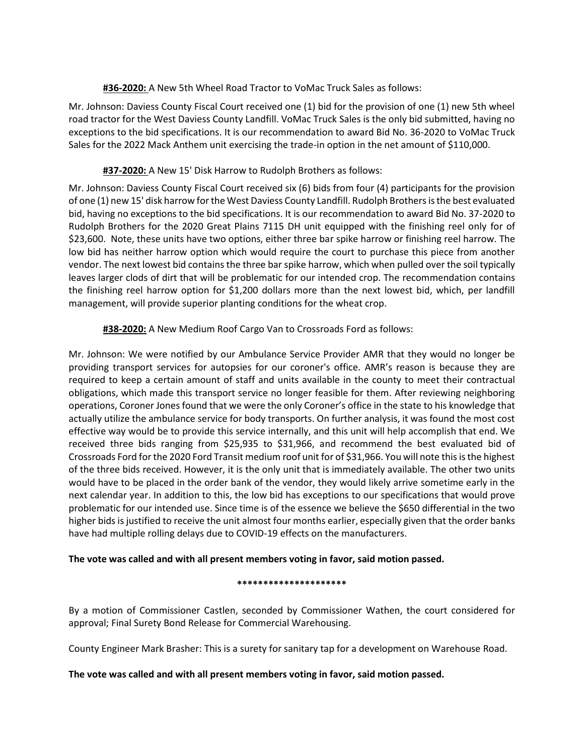**#36-2020:** A New 5th Wheel Road Tractor to VoMac Truck Sales as follows:

Mr. Johnson: Daviess County Fiscal Court received one (1) bid for the provision of one (1) new 5th wheel road tractor for the West Daviess County Landfill. VoMac Truck Sales is the only bid submitted, having no exceptions to the bid specifications. It is our recommendation to award Bid No. 36-2020 to VoMac Truck Sales for the 2022 Mack Anthem unit exercising the trade-in option in the net amount of \$110,000.

# **#37-2020:** A New 15' Disk Harrow to Rudolph Brothers as follows:

Mr. Johnson: Daviess County Fiscal Court received six (6) bids from four (4) participants for the provision of one (1) new 15' disk harrow for the West Daviess County Landfill. Rudolph Brothers is the best evaluated bid, having no exceptions to the bid specifications. It is our recommendation to award Bid No. 37-2020 to Rudolph Brothers for the 2020 Great Plains 7115 DH unit equipped with the finishing reel only for of \$23,600. Note, these units have two options, either three bar spike harrow or finishing reel harrow. The low bid has neither harrow option which would require the court to purchase this piece from another vendor. The next lowest bid contains the three bar spike harrow, which when pulled over the soil typically leaves larger clods of dirt that will be problematic for our intended crop. The recommendation contains the finishing reel harrow option for \$1,200 dollars more than the next lowest bid, which, per landfill management, will provide superior planting conditions for the wheat crop.

# **#38-2020:** A New Medium Roof Cargo Van to Crossroads Ford as follows:

Mr. Johnson: We were notified by our Ambulance Service Provider AMR that they would no longer be providing transport services for autopsies for our coroner's office. AMR's reason is because they are required to keep a certain amount of staff and units available in the county to meet their contractual obligations, which made this transport service no longer feasible for them. After reviewing neighboring operations, Coroner Jones found that we were the only Coroner's office in the state to his knowledge that actually utilize the ambulance service for body transports. On further analysis, it was found the most cost effective way would be to provide this service internally, and this unit will help accomplish that end. We received three bids ranging from \$25,935 to \$31,966, and recommend the best evaluated bid of Crossroads Ford for the 2020 Ford Transit medium roof unit for of \$31,966. You will note this is the highest of the three bids received. However, it is the only unit that is immediately available. The other two units would have to be placed in the order bank of the vendor, they would likely arrive sometime early in the next calendar year. In addition to this, the low bid has exceptions to our specifications that would prove problematic for our intended use. Since time is of the essence we believe the \$650 differential in the two higher bids is justified to receive the unit almost four months earlier, especially given that the order banks have had multiple rolling delays due to COVID-19 effects on the manufacturers.

# **The vote was called and with all present members voting in favor, said motion passed.**

## **\*\*\*\*\*\*\*\*\*\*\*\*\*\*\*\*\*\*\*\*\***

By a motion of Commissioner Castlen, seconded by Commissioner Wathen, the court considered for approval; Final Surety Bond Release for Commercial Warehousing.

County Engineer Mark Brasher: This is a surety for sanitary tap for a development on Warehouse Road.

# **The vote was called and with all present members voting in favor, said motion passed.**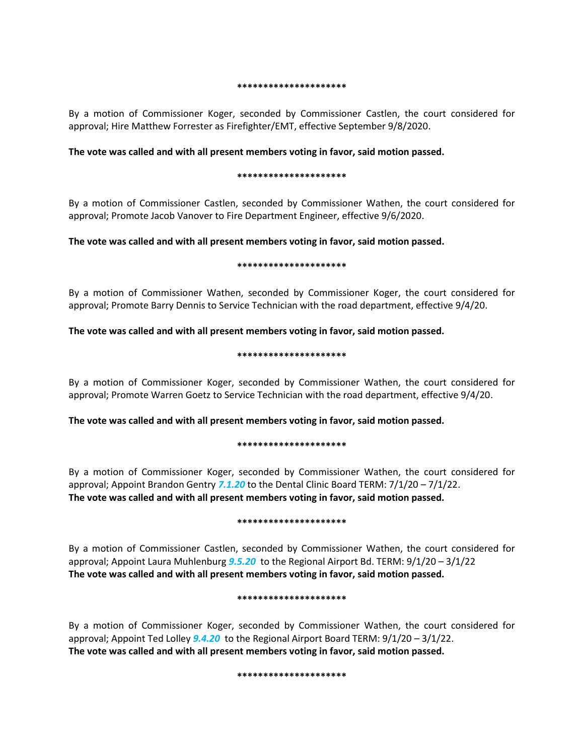#### **\*\*\*\*\*\*\*\*\*\*\*\*\*\*\*\*\*\*\*\*\***

By a motion of Commissioner Koger, seconded by Commissioner Castlen, the court considered for approval; Hire Matthew Forrester as Firefighter/EMT, effective September 9/8/2020.

### **The vote was called and with all present members voting in favor, said motion passed.**

### **\*\*\*\*\*\*\*\*\*\*\*\*\*\*\*\*\*\*\*\*\***

By a motion of Commissioner Castlen, seconded by Commissioner Wathen, the court considered for approval; Promote Jacob Vanover to Fire Department Engineer, effective 9/6/2020.

## **The vote was called and with all present members voting in favor, said motion passed.**

### **\*\*\*\*\*\*\*\*\*\*\*\*\*\*\*\*\*\*\*\*\***

By a motion of Commissioner Wathen, seconded by Commissioner Koger, the court considered for approval; Promote Barry Dennis to Service Technician with the road department, effective 9/4/20.

## **The vote was called and with all present members voting in favor, said motion passed.**

### **\*\*\*\*\*\*\*\*\*\*\*\*\*\*\*\*\*\*\*\*\***

By a motion of Commissioner Koger, seconded by Commissioner Wathen, the court considered for approval; Promote Warren Goetz to Service Technician with the road department, effective 9/4/20.

**The vote was called and with all present members voting in favor, said motion passed.**

### **\*\*\*\*\*\*\*\*\*\*\*\*\*\*\*\*\*\*\*\*\***

By a motion of Commissioner Koger, seconded by Commissioner Wathen, the court considered for approval; Appoint Brandon Gentry *7.1.20* to the Dental Clinic Board TERM: 7/1/20 – 7/1/22. **The vote was called and with all present members voting in favor, said motion passed.**

### **\*\*\*\*\*\*\*\*\*\*\*\*\*\*\*\*\*\*\*\*\***

By a motion of Commissioner Castlen, seconded by Commissioner Wathen, the court considered for approval; Appoint Laura Muhlenburg *9.5.20* to the Regional Airport Bd. TERM: 9/1/20 – 3/1/22 **The vote was called and with all present members voting in favor, said motion passed.**

### **\*\*\*\*\*\*\*\*\*\*\*\*\*\*\*\*\*\*\*\*\***

By a motion of Commissioner Koger, seconded by Commissioner Wathen, the court considered for approval; Appoint Ted Lolley *9.4.20* to the Regional Airport Board TERM: 9/1/20 – 3/1/22. **The vote was called and with all present members voting in favor, said motion passed.**

### **\*\*\*\*\*\*\*\*\*\*\*\*\*\*\*\*\*\*\*\*\***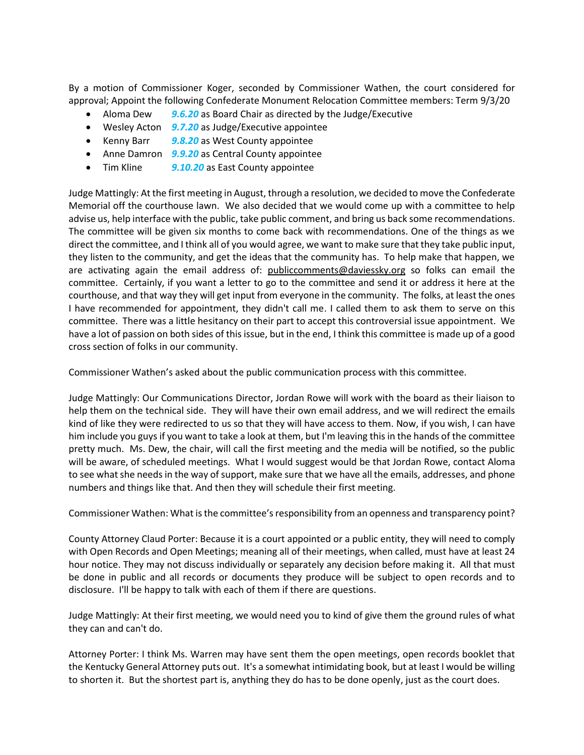By a motion of Commissioner Koger, seconded by Commissioner Wathen, the court considered for approval; Appoint the following Confederate Monument Relocation Committee members: Term 9/3/20

- Aloma Dew *9.6.20* as Board Chair as directed by the Judge/Executive
- Wesley Acton *9.7.20* as Judge/Executive appointee
- Kenny Barr *9.8.20* as West County appointee
- Anne Damron *9.9.20* as Central County appointee
- Tim Kline *9.10.20* as East County appointee

Judge Mattingly: At the first meeting in August, through a resolution, we decided to move the Confederate Memorial off the courthouse lawn. We also decided that we would come up with a committee to help advise us, help interface with the public, take public comment, and bring us back some recommendations. The committee will be given six months to come back with recommendations. One of the things as we direct the committee, and I think all of you would agree, we want to make sure that they take public input, they listen to the community, and get the ideas that the community has. To help make that happen, we are activating again the email address of: publiccomments@daviessky.org so folks can email the committee. Certainly, if you want a letter to go to the committee and send it or address it here at the courthouse, and that way they will get input from everyone in the community. The folks, at least the ones I have recommended for appointment, they didn't call me. I called them to ask them to serve on this committee. There was a little hesitancy on their part to accept this controversial issue appointment. We have a lot of passion on both sides of this issue, but in the end, I think this committee is made up of a good cross section of folks in our community.

Commissioner Wathen's asked about the public communication process with this committee.

Judge Mattingly: Our Communications Director, Jordan Rowe will work with the board as their liaison to help them on the technical side. They will have their own email address, and we will redirect the emails kind of like they were redirected to us so that they will have access to them. Now, if you wish, I can have him include you guys if you want to take a look at them, but I'm leaving this in the hands of the committee pretty much. Ms. Dew, the chair, will call the first meeting and the media will be notified, so the public will be aware, of scheduled meetings. What I would suggest would be that Jordan Rowe, contact Aloma to see what she needs in the way of support, make sure that we have all the emails, addresses, and phone numbers and things like that. And then they will schedule their first meeting.

Commissioner Wathen: What is the committee's responsibility from an openness and transparency point?

County Attorney Claud Porter: Because it is a court appointed or a public entity, they will need to comply with Open Records and Open Meetings; meaning all of their meetings, when called, must have at least 24 hour notice. They may not discuss individually or separately any decision before making it. All that must be done in public and all records or documents they produce will be subject to open records and to disclosure. I'll be happy to talk with each of them if there are questions.

Judge Mattingly: At their first meeting, we would need you to kind of give them the ground rules of what they can and can't do.

Attorney Porter: I think Ms. Warren may have sent them the open meetings, open records booklet that the Kentucky General Attorney puts out. It's a somewhat intimidating book, but at least I would be willing to shorten it. But the shortest part is, anything they do has to be done openly, just as the court does.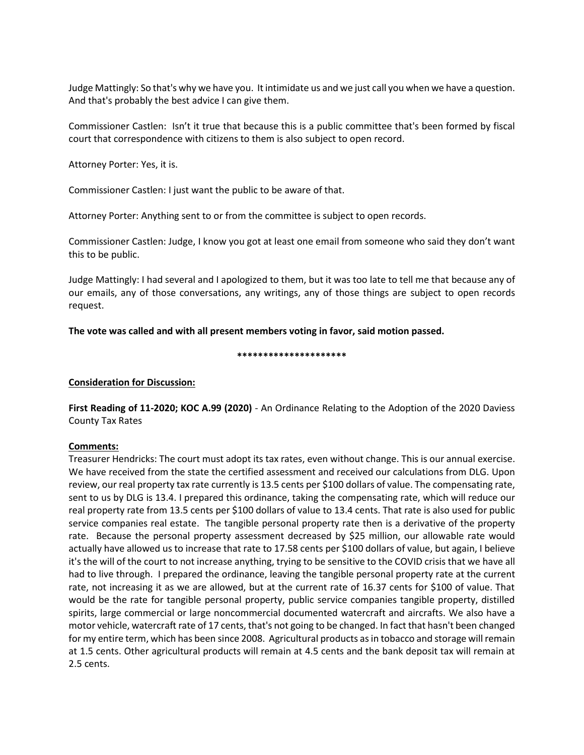Judge Mattingly: So that's why we have you. It intimidate us and we just call you when we have a question. And that's probably the best advice I can give them.

Commissioner Castlen: Isn't it true that because this is a public committee that's been formed by fiscal court that correspondence with citizens to them is also subject to open record.

Attorney Porter: Yes, it is.

Commissioner Castlen: I just want the public to be aware of that.

Attorney Porter: Anything sent to or from the committee is subject to open records.

Commissioner Castlen: Judge, I know you got at least one email from someone who said they don't want this to be public.

Judge Mattingly: I had several and I apologized to them, but it was too late to tell me that because any of our emails, any of those conversations, any writings, any of those things are subject to open records request.

**The vote was called and with all present members voting in favor, said motion passed.**

### **\*\*\*\*\*\*\*\*\*\*\*\*\*\*\*\*\*\*\*\*\***

## **Consideration for Discussion:**

**First Reading of 11-2020; KOC A.99 (2020)** - An Ordinance Relating to the Adoption of the 2020 Daviess County Tax Rates

## **Comments:**

Treasurer Hendricks: The court must adopt its tax rates, even without change. This is our annual exercise. We have received from the state the certified assessment and received our calculations from DLG. Upon review, our real property tax rate currently is 13.5 cents per \$100 dollars of value. The compensating rate, sent to us by DLG is 13.4. I prepared this ordinance, taking the compensating rate, which will reduce our real property rate from 13.5 cents per \$100 dollars of value to 13.4 cents. That rate is also used for public service companies real estate. The tangible personal property rate then is a derivative of the property rate. Because the personal property assessment decreased by \$25 million, our allowable rate would actually have allowed us to increase that rate to 17.58 cents per \$100 dollars of value, but again, I believe it's the will of the court to not increase anything, trying to be sensitive to the COVID crisis that we have all had to live through. I prepared the ordinance, leaving the tangible personal property rate at the current rate, not increasing it as we are allowed, but at the current rate of 16.37 cents for \$100 of value. That would be the rate for tangible personal property, public service companies tangible property, distilled spirits, large commercial or large noncommercial documented watercraft and aircrafts. We also have a motor vehicle, watercraft rate of 17 cents, that's not going to be changed. In fact that hasn't been changed for my entire term, which has been since 2008. Agricultural products as in tobacco and storage will remain at 1.5 cents. Other agricultural products will remain at 4.5 cents and the bank deposit tax will remain at 2.5 cents.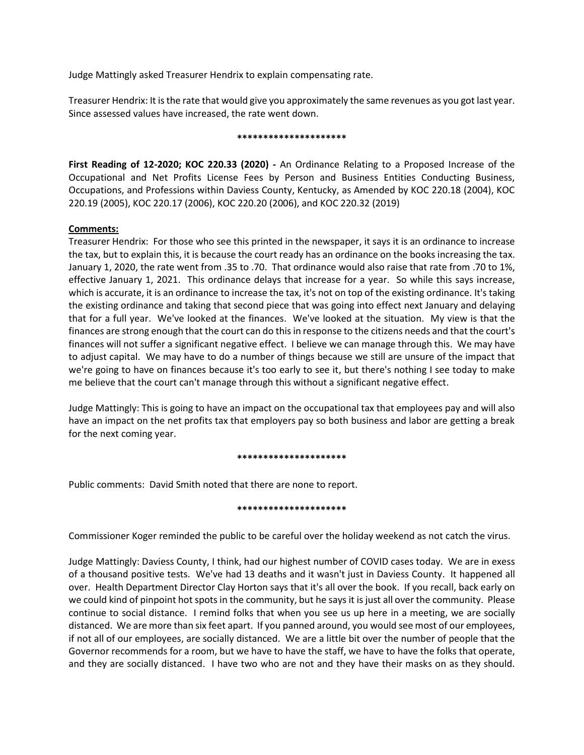Judge Mattingly asked Treasurer Hendrix to explain compensating rate.

Treasurer Hendrix: It is the rate that would give you approximately the same revenues as you got last year. Since assessed values have increased, the rate went down.

### **\*\*\*\*\*\*\*\*\*\*\*\*\*\*\*\*\*\*\*\*\***

**First Reading of 12-2020; KOC 220.33 (2020) -** An Ordinance Relating to a Proposed Increase of the Occupational and Net Profits License Fees by Person and Business Entities Conducting Business, Occupations, and Professions within Daviess County, Kentucky, as Amended by KOC 220.18 (2004), KOC 220.19 (2005), KOC 220.17 (2006), KOC 220.20 (2006), and KOC 220.32 (2019)

## **Comments:**

Treasurer Hendrix: For those who see this printed in the newspaper, it says it is an ordinance to increase the tax, but to explain this, it is because the court ready has an ordinance on the books increasing the tax. January 1, 2020, the rate went from .35 to .70. That ordinance would also raise that rate from .70 to 1%, effective January 1, 2021. This ordinance delays that increase for a year. So while this says increase, which is accurate, it is an ordinance to increase the tax, it's not on top of the existing ordinance. It's taking the existing ordinance and taking that second piece that was going into effect next January and delaying that for a full year. We've looked at the finances. We've looked at the situation. My view is that the finances are strong enough that the court can do this in response to the citizens needs and that the court's finances will not suffer a significant negative effect. I believe we can manage through this. We may have to adjust capital. We may have to do a number of things because we still are unsure of the impact that we're going to have on finances because it's too early to see it, but there's nothing I see today to make me believe that the court can't manage through this without a significant negative effect.

Judge Mattingly: This is going to have an impact on the occupational tax that employees pay and will also have an impact on the net profits tax that employers pay so both business and labor are getting a break for the next coming year.

### **\*\*\*\*\*\*\*\*\*\*\*\*\*\*\*\*\*\*\*\*\***

Public comments: David Smith noted that there are none to report.

### **\*\*\*\*\*\*\*\*\*\*\*\*\*\*\*\*\*\*\*\*\***

Commissioner Koger reminded the public to be careful over the holiday weekend as not catch the virus.

Judge Mattingly: Daviess County, I think, had our highest number of COVID cases today. We are in exess of a thousand positive tests. We've had 13 deaths and it wasn't just in Daviess County. It happened all over. Health Department Director Clay Horton says that it's all over the book. If you recall, back early on we could kind of pinpoint hot spots in the community, but he says it is just all over the community. Please continue to social distance. I remind folks that when you see us up here in a meeting, we are socially distanced. We are more than six feet apart. If you panned around, you would see most of our employees, if not all of our employees, are socially distanced. We are a little bit over the number of people that the Governor recommends for a room, but we have to have the staff, we have to have the folks that operate, and they are socially distanced. I have two who are not and they have their masks on as they should.